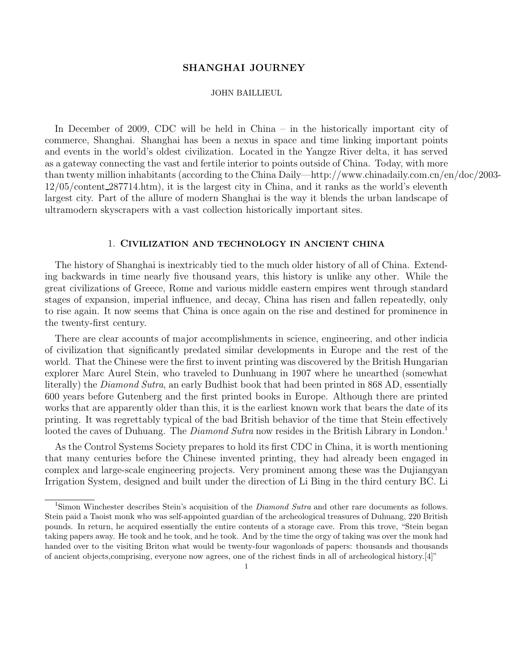#### SHANGHAI JOURNEY

#### JOHN BAILLIEUL

In December of 2009, CDC will be held in China – in the historically important city of commerce, Shanghai. Shanghai has been a nexus in space and time linking important points and events in the world's oldest civilization. Located in the Yangze River delta, it has served as a gateway connecting the vast and fertile interior to points outside of China. Today, with more than twenty million inhabitants (according to the China Daily—http://www.chinadaily.com.cn/en/doc/2003- 12/05/content 287714.htm), it is the largest city in China, and it ranks as the world's eleventh largest city. Part of the allure of modern Shanghai is the way it blends the urban landscape of ultramodern skyscrapers with a vast collection historically important sites.

#### 1. CIVILIZATION AND TECHNOLOGY IN ANCIENT CHINA

The history of Shanghai is inextricably tied to the much older history of all of China. Extending backwards in time nearly five thousand years, this history is unlike any other. While the great civilizations of Greece, Rome and various middle eastern empires went through standard stages of expansion, imperial influence, and decay, China has risen and fallen repeatedly, only to rise again. It now seems that China is once again on the rise and destined for prominence in the twenty-first century.

There are clear accounts of major accomplishments in science, engineering, and other indicia of civilization that significantly predated similar developments in Europe and the rest of the world. That the Chinese were the first to invent printing was discovered by the British Hungarian explorer Marc Aurel Stein, who traveled to Dunhuang in 1907 where he unearthed (somewhat literally) the Diamond Sutra, an early Budhist book that had been printed in 868 AD, essentially 600 years before Gutenberg and the first printed books in Europe. Although there are printed works that are apparently older than this, it is the earliest known work that bears the date of its printing. It was regrettably typical of the bad British behavior of the time that Stein effectively looted the caves of Duhuang. The *Diamond Sutra* now resides in the British Library in London.<sup>1</sup>

As the Control Systems Society prepares to hold its first CDC in China, it is worth mentioning that many centuries before the Chinese invented printing, they had already been engaged in complex and large-scale engineering projects. Very prominent among these was the Dujiangyan Irrigation System, designed and built under the direction of Li Bing in the third century BC. Li

<sup>1</sup>Simon Winchester describes Stein's acquisition of the *Diamond Sutra* and other rare documents as follows. Stein paid a Taoist monk who was self-appointed guardian of the archeological treasures of Duhuang, 220 British pounds. In return, he acquired essentially the entire contents of a storage cave. From this trove, "Stein began taking papers away. He took and he took, and he took. And by the time the orgy of taking was over the monk had handed over to the visiting Briton what would be twenty-four wagonloads of papers: thousands and thousands of ancient objects,comprising, everyone now agrees, one of the richest finds in all of archeological history.[4]"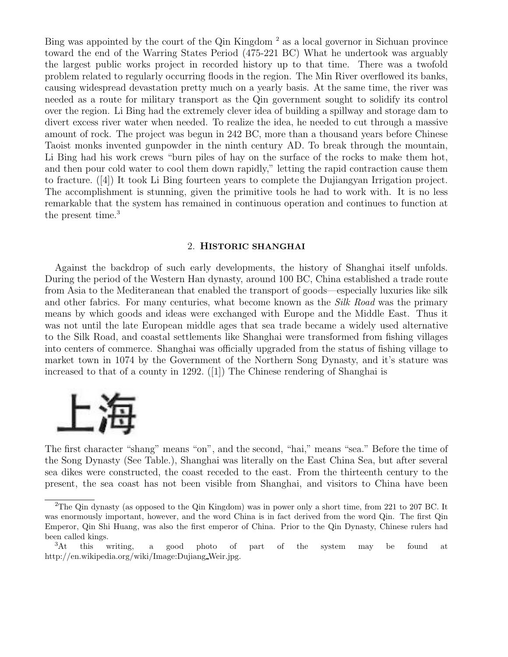Bing was appointed by the court of the Qin Kingdom<sup>2</sup> as a local governor in Sichuan province toward the end of the Warring States Period (475-221 BC) What he undertook was arguably the largest public works project in recorded history up to that time. There was a twofold problem related to regularly occurring floods in the region. The Min River overflowed its banks, causing widespread devastation pretty much on a yearly basis. At the same time, the river was needed as a route for military transport as the Qin government sought to solidify its control over the region. Li Bing had the extremely clever idea of building a spillway and storage dam to divert excess river water when needed. To realize the idea, he needed to cut through a massive amount of rock. The project was begun in 242 BC, more than a thousand years before Chinese Taoist monks invented gunpowder in the ninth century AD. To break through the mountain, Li Bing had his work crews "burn piles of hay on the surface of the rocks to make them hot, and then pour cold water to cool them down rapidly," letting the rapid contraction cause them to fracture. ([4]) It took Li Bing fourteen years to complete the Dujiangyan Irrigation project. The accomplishment is stunning, given the primitive tools he had to work with. It is no less remarkable that the system has remained in continuous operation and continues to function at the present time.<sup>3</sup>

#### 2. HISTORIC SHANGHAI

Against the backdrop of such early developments, the history of Shanghai itself unfolds. During the period of the Western Han dynasty, around 100 BC, China established a trade route from Asia to the Mediteranean that enabled the transport of goods—especially luxuries like silk and other fabrics. For many centuries, what become known as the Silk Road was the primary means by which goods and ideas were exchanged with Europe and the Middle East. Thus it was not until the late European middle ages that sea trade became a widely used alternative to the Silk Road, and coastal settlements like Shanghai were transformed from fishing villages into centers of commerce. Shanghai was officially upgraded from the status of fishing village to market town in 1074 by the Government of the Northern Song Dynasty, and it's stature was increased to that of a county in 1292. ([1]) The Chinese rendering of Shanghai is



The first character "shang" means "on", and the second, "hai," means "sea." Before the time of the Song Dynasty (See Table.), Shanghai was literally on the East China Sea, but after several sea dikes were constructed, the coast receded to the east. From the thirteenth century to the present, the sea coast has not been visible from Shanghai, and visitors to China have been

<sup>2</sup>The Qin dynasty (as opposed to the Qin Kingdom) was in power only a short time, from 221 to 207 BC. It was enormously important, however, and the word China is in fact derived from the word Qin. The first Qin Emperor, Qin Shi Huang, was also the first emperor of China. Prior to the Qin Dynasty, Chinese rulers had been called kings.

<sup>&</sup>lt;sup>3</sup>At this writing, a good photo of part of the system may be found at http://en.wikipedia.org/wiki/Image:Dujiang Weir.jpg.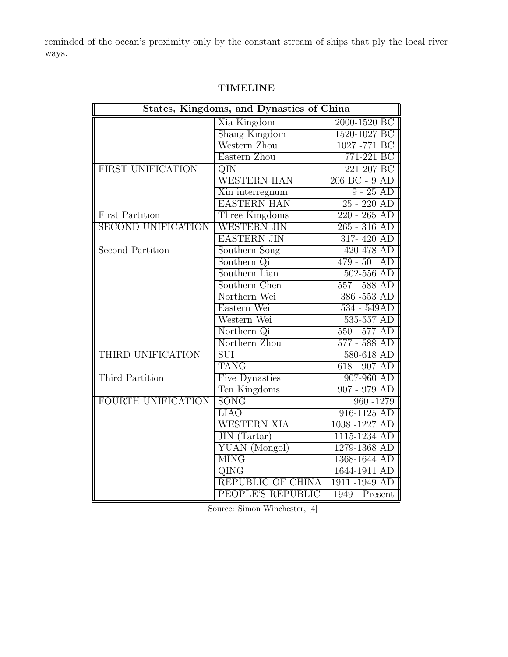reminded of the ocean's proximity only by the constant stream of ships that ply the local river ways.

| States, Kingdoms, and Dynasties of China |                       |                |
|------------------------------------------|-----------------------|----------------|
|                                          | Xia Kingdom           | 2000-1520 BC   |
|                                          | Shang Kingdom         | 1520-1027 BC   |
|                                          | Western Zhou          | 1027 -771 BC   |
|                                          | Eastern Zhou          | 771-221 BC     |
| FIRST UNIFICATION                        | QIN                   | 221-207 BC     |
|                                          | <b>WESTERN HAN</b>    | 206 BC - 9 AD  |
|                                          | Xin interregnum       | $9 - 25$ AD    |
|                                          | <b>EASTERN HAN</b>    | $25 - 220$ AD  |
| <b>First Partition</b>                   | Three Kingdoms        | $220 - 265$ AD |
| <b>SECOND UNIFICATION</b>                | <b>WESTERN JIN</b>    | $265 - 316$ AD |
|                                          | <b>EASTERN JIN</b>    | 317-420 AD     |
| Second Partition                         | Southern Song         | 420-478 AD     |
|                                          | Southern Qi           | $479 - 501$ AD |
|                                          | Southern Lian         | $502 - 556$ AD |
|                                          | Southern Chen         | $557 - 588$ AD |
|                                          | Northern Wei          | 386-553 AD     |
|                                          | Eastern Wei           | 534 - 549AD    |
|                                          | Western Wei           | 535-557 AD     |
|                                          | Northern Qi           | $550 - 577$ AD |
|                                          | Northern Zhou         | 577 - 588 AD   |
| THIRD UNIFICATION                        | SUI                   | 580-618 AD     |
|                                          | <b>TANG</b>           | $618 - 907$ AD |
| Third Partition                          | <b>Five Dynasties</b> | 907-960 AD     |
|                                          | Ten Kingdoms          | $907 - 979$ AD |
| FOURTH UNIFICATION                       | SONG                  | 960 - 1279     |
|                                          | <b>LIAO</b>           | 916-1125 AD    |
|                                          | <b>WESTERN XIA</b>    | 1038-1227 AD   |
|                                          | $JIN$ (Tartar)        | 1115-1234 AD   |
|                                          | YUAN (Mongol)         | 1279-1368 AD   |
|                                          | <b>MING</b>           | 1368-1644 AD   |
|                                          | QING                  | 1644-1911 AD   |
|                                          | REPUBLIC OF CHINA     | 1911 -1949 AD  |
|                                          | PEOPLE'S REPUBLIC     | 1949 - Present |

# TIMELINE

—Source: Simon Winchester, [4]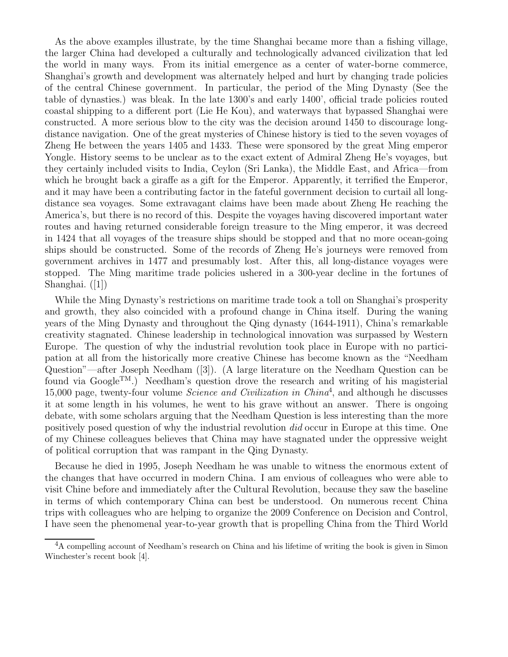As the above examples illustrate, by the time Shanghai became more than a fishing village, the larger China had developed a culturally and technologically advanced civilization that led the world in many ways. From its initial emergence as a center of water-borne commerce, Shanghai's growth and development was alternately helped and hurt by changing trade policies of the central Chinese government. In particular, the period of the Ming Dynasty (See the table of dynasties.) was bleak. In the late 1300's and early 1400', official trade policies routed coastal shipping to a different port (Lie He Kou), and waterways that bypassed Shanghai were constructed. A more serious blow to the city was the decision around 1450 to discourage longdistance navigation. One of the great mysteries of Chinese history is tied to the seven voyages of Zheng He between the years 1405 and 1433. These were sponsored by the great Ming emperor Yongle. History seems to be unclear as to the exact extent of Admiral Zheng He's voyages, but they certainly included visits to India, Ceylon (Sri Lanka), the Middle East, and Africa—from which he brought back a giraffe as a gift for the Emperor. Apparently, it terrified the Emperor, and it may have been a contributing factor in the fateful government decision to curtail all longdistance sea voyages. Some extravagant claims have been made about Zheng He reaching the America's, but there is no record of this. Despite the voyages having discovered important water routes and having returned considerable foreign treasure to the Ming emperor, it was decreed in 1424 that all voyages of the treasure ships should be stopped and that no more ocean-going ships should be constructed. Some of the records of Zheng He's journeys were removed from government archives in 1477 and presumably lost. After this, all long-distance voyages were stopped. The Ming maritime trade policies ushered in a 300-year decline in the fortunes of Shanghai. ([1])

While the Ming Dynasty's restrictions on maritime trade took a toll on Shanghai's prosperity and growth, they also coincided with a profound change in China itself. During the waning years of the Ming Dynasty and throughout the Qing dynasty (1644-1911), China's remarkable creativity stagnated. Chinese leadership in technological innovation was surpassed by Western Europe. The question of why the industrial revolution took place in Europe with no participation at all from the historically more creative Chinese has become known as the "Needham Question"—after Joseph Needham ([3]). (A large literature on the Needham Question can be found via  $Google^{TM}$ .) Needham's question drove the research and writing of his magisterial 15,000 page, twenty-four volume *Science and Civilization in China*<sup>4</sup>, and although he discusses it at some length in his volumes, he went to his grave without an answer. There is ongoing debate, with some scholars arguing that the Needham Question is less interesting than the more positively posed question of why the industrial revolution did occur in Europe at this time. One of my Chinese colleagues believes that China may have stagnated under the oppressive weight of political corruption that was rampant in the Qing Dynasty.

Because he died in 1995, Joseph Needham he was unable to witness the enormous extent of the changes that have occurred in modern China. I am envious of colleagues who were able to visit Chine before and immediately after the Cultural Revolution, because they saw the baseline in terms of which contemporary China can best be understood. On numerous recent China trips with colleagues who are helping to organize the 2009 Conference on Decision and Control, I have seen the phenomenal year-to-year growth that is propelling China from the Third World

<sup>&</sup>lt;sup>4</sup>A compelling account of Needham's research on China and his lifetime of writing the book is given in Simon Winchester's recent book [4].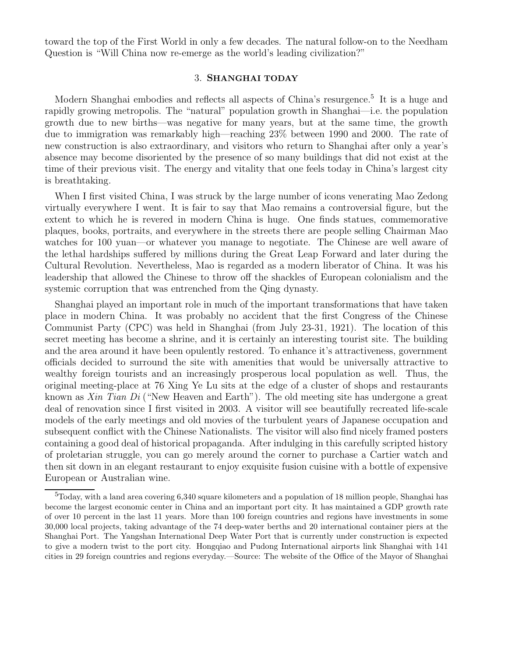toward the top of the First World in only a few decades. The natural follow-on to the Needham Question is "Will China now re-emerge as the world's leading civilization?"

#### 3. SHANGHAI TODAY

Modern Shanghai embodies and reflects all aspects of China's resurgence.<sup>5</sup> It is a huge and rapidly growing metropolis. The "natural" population growth in Shanghai—i.e. the population growth due to new births—was negative for many years, but at the same time, the growth due to immigration was remarkably high—reaching 23% between 1990 and 2000. The rate of new construction is also extraordinary, and visitors who return to Shanghai after only a year's absence may become disoriented by the presence of so many buildings that did not exist at the time of their previous visit. The energy and vitality that one feels today in China's largest city is breathtaking.

When I first visited China, I was struck by the large number of icons venerating Mao Zedong virtually everywhere I went. It is fair to say that Mao remains a controversial figure, but the extent to which he is revered in modern China is huge. One finds statues, commemorative plaques, books, portraits, and everywhere in the streets there are people selling Chairman Mao watches for 100 yuan—or whatever you manage to negotiate. The Chinese are well aware of the lethal hardships suffered by millions during the Great Leap Forward and later during the Cultural Revolution. Nevertheless, Mao is regarded as a modern liberator of China. It was his leadership that allowed the Chinese to throw off the shackles of European colonialism and the systemic corruption that was entrenched from the Qing dynasty.

Shanghai played an important role in much of the important transformations that have taken place in modern China. It was probably no accident that the first Congress of the Chinese Communist Party (CPC) was held in Shanghai (from July 23-31, 1921). The location of this secret meeting has become a shrine, and it is certainly an interesting tourist site. The building and the area around it have been opulently restored. To enhance it's attractiveness, government officials decided to surround the site with amenities that would be universally attractive to wealthy foreign tourists and an increasingly prosperous local population as well. Thus, the original meeting-place at 76 Xing Ye Lu sits at the edge of a cluster of shops and restaurants known as Xin Tian Di ("New Heaven and Earth"). The old meeting site has undergone a great deal of renovation since I first visited in 2003. A visitor will see beautifully recreated life-scale models of the early meetings and old movies of the turbulent years of Japanese occupation and subsequent conflict with the Chinese Nationalists. The visitor will also find nicely framed posters containing a good deal of historical propaganda. After indulging in this carefully scripted history of proletarian struggle, you can go merely around the corner to purchase a Cartier watch and then sit down in an elegant restaurant to enjoy exquisite fusion cuisine with a bottle of expensive European or Australian wine.

 $5T$ oday, with a land area covering 6,340 square kilometers and a population of 18 million people, Shanghai has become the largest economic center in China and an important port city. It has maintained a GDP growth rate of over 10 percent in the last 11 years. More than 100 foreign countries and regions have investments in some 30,000 local projects, taking advantage of the 74 deep-water berths and 20 international container piers at the Shanghai Port. The Yangshan International Deep Water Port that is currently under construction is expected to give a modern twist to the port city. Hongqiao and Pudong International airports link Shanghai with 141 cities in 29 foreign countries and regions everyday.—Source: The website of the Office of the Mayor of Shanghai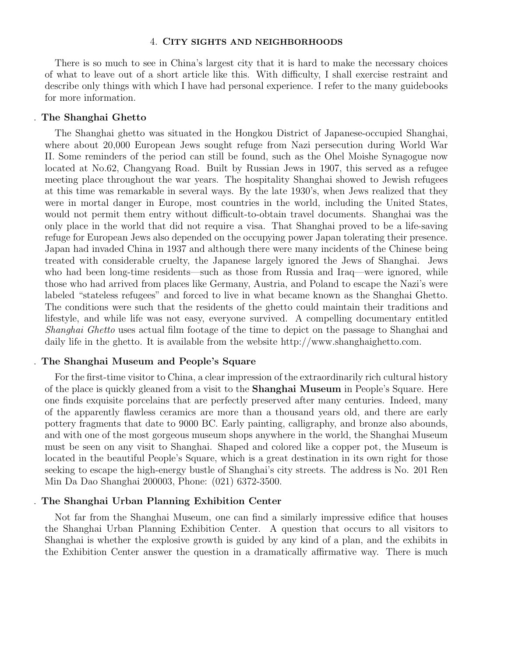#### 4. CITY SIGHTS AND NEIGHBORHOODS

There is so much to see in China's largest city that it is hard to make the necessary choices of what to leave out of a short article like this. With difficulty, I shall exercise restraint and describe only things with which I have had personal experience. I refer to the many guidebooks for more information.

#### . The Shanghai Ghetto

The Shanghai ghetto was situated in the Hongkou District of Japanese-occupied Shanghai, where about 20,000 European Jews sought refuge from Nazi persecution during World War II. Some reminders of the period can still be found, such as the Ohel Moishe Synagogue now located at No.62, Changyang Road. Built by Russian Jews in 1907, this served as a refugee meeting place throughout the war years. The hospitality Shanghai showed to Jewish refugees at this time was remarkable in several ways. By the late 1930's, when Jews realized that they were in mortal danger in Europe, most countries in the world, including the United States, would not permit them entry without difficult-to-obtain travel documents. Shanghai was the only place in the world that did not require a visa. That Shanghai proved to be a life-saving refuge for European Jews also depended on the occupying power Japan tolerating their presence. Japan had invaded China in 1937 and although there were many incidents of the Chinese being treated with considerable cruelty, the Japanese largely ignored the Jews of Shanghai. Jews who had been long-time residents—such as those from Russia and Iraq—were ignored, while those who had arrived from places like Germany, Austria, and Poland to escape the Nazi's were labeled "stateless refugees" and forced to live in what became known as the Shanghai Ghetto. The conditions were such that the residents of the ghetto could maintain their traditions and lifestyle, and while life was not easy, everyone survived. A compelling documentary entitled Shanghai Ghetto uses actual film footage of the time to depict on the passage to Shanghai and daily life in the ghetto. It is available from the website http://www.shanghaighetto.com.

#### . The Shanghai Museum and People's Square

For the first-time visitor to China, a clear impression of the extraordinarily rich cultural history of the place is quickly gleaned from a visit to the Shanghai Museum in People's Square. Here one finds exquisite porcelains that are perfectly preserved after many centuries. Indeed, many of the apparently flawless ceramics are more than a thousand years old, and there are early pottery fragments that date to 9000 BC. Early painting, calligraphy, and bronze also abounds, and with one of the most gorgeous museum shops anywhere in the world, the Shanghai Museum must be seen on any visit to Shanghai. Shaped and colored like a copper pot, the Museum is located in the beautiful People's Square, which is a great destination in its own right for those seeking to escape the high-energy bustle of Shanghai's city streets. The address is No. 201 Ren Min Da Dao Shanghai 200003, Phone: (021) 6372-3500.

## . The Shanghai Urban Planning Exhibition Center

Not far from the Shanghai Museum, one can find a similarly impressive edifice that houses the Shanghai Urban Planning Exhibition Center. A question that occurs to all visitors to Shanghai is whether the explosive growth is guided by any kind of a plan, and the exhibits in the Exhibition Center answer the question in a dramatically affirmative way. There is much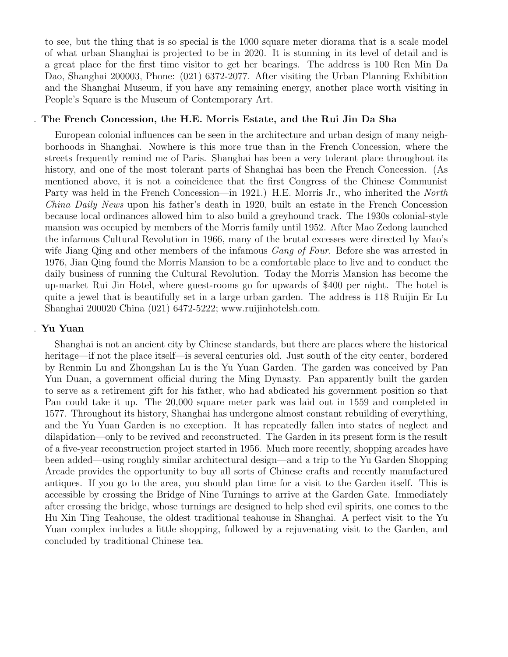to see, but the thing that is so special is the 1000 square meter diorama that is a scale model of what urban Shanghai is projected to be in 2020. It is stunning in its level of detail and is a great place for the first time visitor to get her bearings. The address is 100 Ren Min Da Dao, Shanghai 200003, Phone: (021) 6372-2077. After visiting the Urban Planning Exhibition and the Shanghai Museum, if you have any remaining energy, another place worth visiting in People's Square is the Museum of Contemporary Art.

## . The French Concession, the H.E. Morris Estate, and the Rui Jin Da Sha

European colonial influences can be seen in the architecture and urban design of many neighborhoods in Shanghai. Nowhere is this more true than in the French Concession, where the streets frequently remind me of Paris. Shanghai has been a very tolerant place throughout its history, and one of the most tolerant parts of Shanghai has been the French Concession. (As mentioned above, it is not a coincidence that the first Congress of the Chinese Communist Party was held in the French Concession—in 1921.) H.E. Morris Jr., who inherited the *North* China Daily News upon his father's death in 1920, built an estate in the French Concession because local ordinances allowed him to also build a greyhound track. The 1930s colonial-style mansion was occupied by members of the Morris family until 1952. After Mao Zedong launched the infamous Cultural Revolution in 1966, many of the brutal excesses were directed by Mao's wife Jiang Qing and other members of the infamous *Gang of Four*. Before she was arrested in 1976, Jian Qing found the Morris Mansion to be a comfortable place to live and to conduct the daily business of running the Cultural Revolution. Today the Morris Mansion has become the up-market Rui Jin Hotel, where guest-rooms go for upwards of \$400 per night. The hotel is quite a jewel that is beautifully set in a large urban garden. The address is 118 Ruijin Er Lu Shanghai 200020 China (021) 6472-5222; www.ruijinhotelsh.com.

## . Yu Yuan

Shanghai is not an ancient city by Chinese standards, but there are places where the historical heritage—if not the place itself—is several centuries old. Just south of the city center, bordered by Renmin Lu and Zhongshan Lu is the Yu Yuan Garden. The garden was conceived by Pan Yun Duan, a government official during the Ming Dynasty. Pan apparently built the garden to serve as a retirement gift for his father, who had abdicated his government position so that Pan could take it up. The 20,000 square meter park was laid out in 1559 and completed in 1577. Throughout its history, Shanghai has undergone almost constant rebuilding of everything, and the Yu Yuan Garden is no exception. It has repeatedly fallen into states of neglect and dilapidation—only to be revived and reconstructed. The Garden in its present form is the result of a five-year reconstruction project started in 1956. Much more recently, shopping arcades have been added—using roughly similar architectural design—and a trip to the Yu Garden Shopping Arcade provides the opportunity to buy all sorts of Chinese crafts and recently manufactured antiques. If you go to the area, you should plan time for a visit to the Garden itself. This is accessible by crossing the Bridge of Nine Turnings to arrive at the Garden Gate. Immediately after crossing the bridge, whose turnings are designed to help shed evil spirits, one comes to the Hu Xin Ting Teahouse, the oldest traditional teahouse in Shanghai. A perfect visit to the Yu Yuan complex includes a little shopping, followed by a rejuvenating visit to the Garden, and concluded by traditional Chinese tea.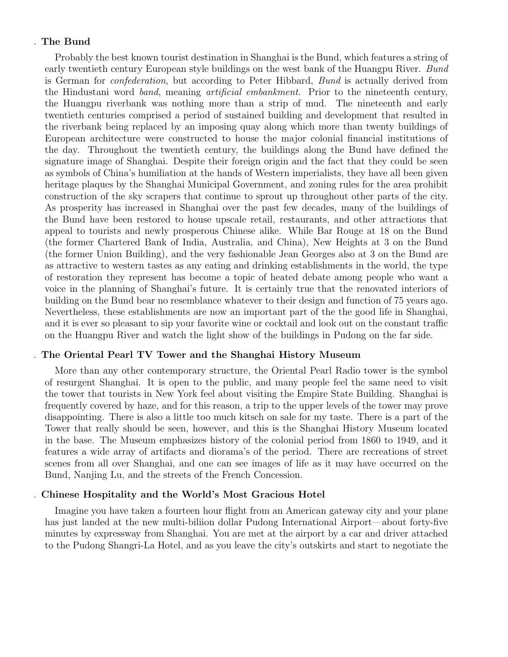# . The Bund

Probably the best known tourist destination in Shanghai is the Bund, which features a string of early twentieth century European style buildings on the west bank of the Huangpu River. Bund is German for confederation, but according to Peter Hibbard, Bund is actually derived from the Hindustani word band, meaning artificial embankment. Prior to the nineteenth century, the Huangpu riverbank was nothing more than a strip of mud. The nineteenth and early twentieth centuries comprised a period of sustained building and development that resulted in the riverbank being replaced by an imposing quay along which more than twenty buildings of European architecture were constructed to house the major colonial financial institutions of the day. Throughout the twentieth century, the buildings along the Bund have defined the signature image of Shanghai. Despite their foreign origin and the fact that they could be seen as symbols of China's humiliation at the hands of Western imperialists, they have all been given heritage plaques by the Shanghai Municipal Government, and zoning rules for the area prohibit construction of the sky scrapers that continue to sprout up throughout other parts of the city. As prosperity has increased in Shanghai over the past few decades, many of the buildings of the Bund have been restored to house upscale retail, restaurants, and other attractions that appeal to tourists and newly prosperous Chinese alike. While Bar Rouge at 18 on the Bund (the former Chartered Bank of India, Australia, and China), New Heights at 3 on the Bund (the former Union Building), and the very fashionable Jean Georges also at 3 on the Bund are as attractive to western tastes as any eating and drinking establishments in the world, the type of restoration they represent has become a topic of heated debate among people who want a voice in the planning of Shanghai's future. It is certainly true that the renovated interiors of building on the Bund bear no resemblance whatever to their design and function of 75 years ago. Nevertheless, these establishments are now an important part of the the good life in Shanghai, and it is ever so pleasant to sip your favorite wine or cocktail and look out on the constant traffic on the Huangpu River and watch the light show of the buildings in Pudong on the far side.

## . The Oriental Pearl TV Tower and the Shanghai History Museum

More than any other contemporary structure, the Oriental Pearl Radio tower is the symbol of resurgent Shanghai. It is open to the public, and many people feel the same need to visit the tower that tourists in New York feel about visiting the Empire State Building. Shanghai is frequently covered by haze, and for this reason, a trip to the upper levels of the tower may prove disappointing. There is also a little too much kitsch on sale for my taste. There is a part of the Tower that really should be seen, however, and this is the Shanghai History Museum located in the base. The Museum emphasizes history of the colonial period from 1860 to 1949, and it features a wide array of artifacts and diorama's of the period. There are recreations of street scenes from all over Shanghai, and one can see images of life as it may have occurred on the Bund, Nanjing Lu, and the streets of the French Concession.

#### . Chinese Hospitality and the World's Most Gracious Hotel

Imagine you have taken a fourteen hour flight from an American gateway city and your plane has just landed at the new multi-biliion dollar Pudong International Airport—about forty-five minutes by expressway from Shanghai. You are met at the airport by a car and driver attached to the Pudong Shangri-La Hotel, and as you leave the city's outskirts and start to negotiate the